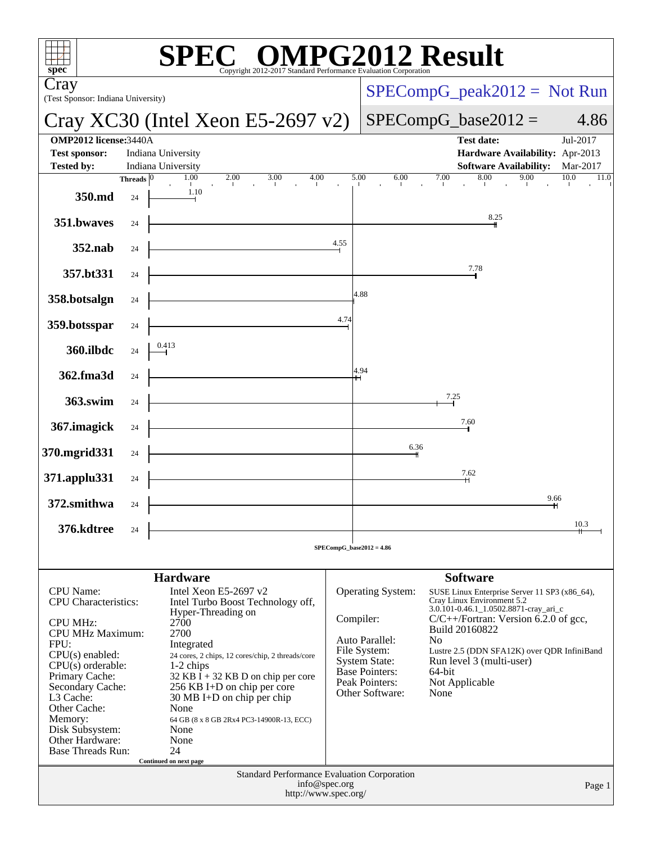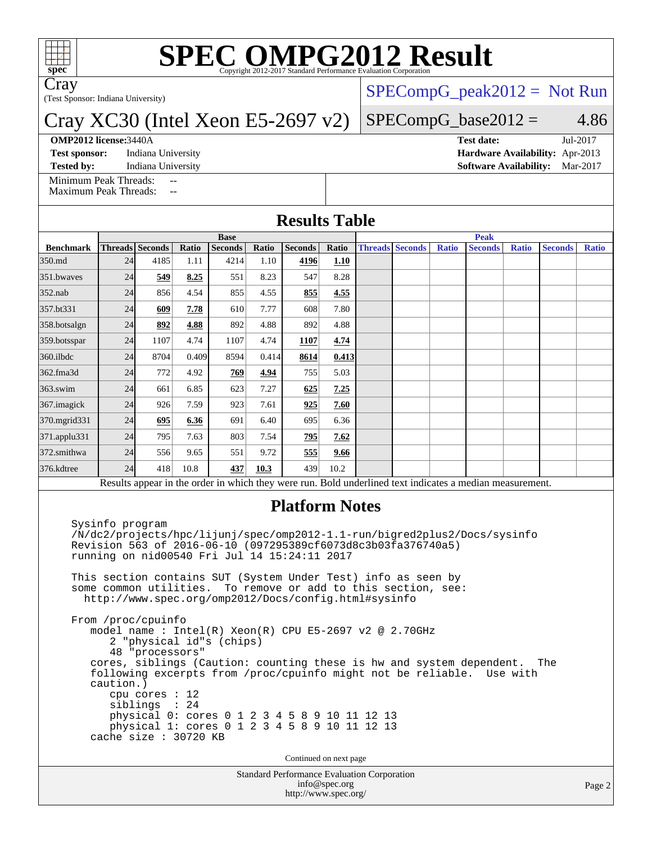

# **[SPEC OMPG2012 Result](http://www.spec.org/auto/omp2012/Docs/result-fields.html#SPECOMPG2012Result)**

Cray

(Test Sponsor: Indiana University)

### Cray XC30 (Intel Xeon E5-2697 v2)

#### **[OMP2012 license:](http://www.spec.org/auto/omp2012/Docs/result-fields.html#OMP2012license)**3440A **[Test date:](http://www.spec.org/auto/omp2012/Docs/result-fields.html#Testdate)** Jul-2017

**[Test sponsor:](http://www.spec.org/auto/omp2012/Docs/result-fields.html#Testsponsor)** Indiana University **[Hardware Availability:](http://www.spec.org/auto/omp2012/Docs/result-fields.html#HardwareAvailability)** Apr-2013

 $SPECompG_peak2012 = Not Run$  $SPECompG_peak2012 = Not Run$ 

### $SPECompG_base2012 = 4.86$  $SPECompG_base2012 = 4.86$

**[Tested by:](http://www.spec.org/auto/omp2012/Docs/result-fields.html#Testedby)** Indiana University **[Software Availability:](http://www.spec.org/auto/omp2012/Docs/result-fields.html#SoftwareAvailability)** Mar-2017

[Minimum Peak Threads:](http://www.spec.org/auto/omp2012/Docs/result-fields.html#MinimumPeakThreads)

[Maximum Peak Threads:](http://www.spec.org/auto/omp2012/Docs/result-fields.html#MaximumPeakThreads)

| <b>Results Table</b> |             |                        |       |                |       |                       |       |             |                        |              |                                                                                                          |              |                |              |
|----------------------|-------------|------------------------|-------|----------------|-------|-----------------------|-------|-------------|------------------------|--------------|----------------------------------------------------------------------------------------------------------|--------------|----------------|--------------|
|                      | <b>Base</b> |                        |       |                |       |                       |       | <b>Peak</b> |                        |              |                                                                                                          |              |                |              |
| <b>Benchmark</b>     |             | <b>Threads</b> Seconds | Ratio | <b>Seconds</b> | Ratio | <b>Seconds</b>        | Ratio |             | <b>Threads</b> Seconds | <b>Ratio</b> | <b>Seconds</b>                                                                                           | <b>Ratio</b> | <b>Seconds</b> | <b>Ratio</b> |
| 350.md               | 24          | 4185                   | 1.11  | 4214           | 1.10  | 4196                  | 1.10  |             |                        |              |                                                                                                          |              |                |              |
| 351.bwayes           | 24          | 549                    | 8.25  | 551            | 8.23  | 547                   | 8.28  |             |                        |              |                                                                                                          |              |                |              |
| $352$ .nab           | 24          | 856                    | 4.54  | 855            | 4.55  | 855                   | 4.55  |             |                        |              |                                                                                                          |              |                |              |
| 357.bt331            | 24          | 609                    | 7.78  | 610            | 7.77  | 608                   | 7.80  |             |                        |              |                                                                                                          |              |                |              |
| 358.botsalgn         | 24          | 892                    | 4.88  | 892            | 4.88  | 892                   | 4.88  |             |                        |              |                                                                                                          |              |                |              |
| 359.botsspar         | 24          | 1107                   | 4.74  | 1107           | 4.74  | 1107                  | 4.74  |             |                        |              |                                                                                                          |              |                |              |
| 360.ilbdc            | 24          | 8704                   | 0.409 | 8594           | 0.414 | 8614                  | 0.413 |             |                        |              |                                                                                                          |              |                |              |
| 362.fma3d            | 24          | 772                    | 4.92  | 769            | 4.94  | 755                   | 5.03  |             |                        |              |                                                                                                          |              |                |              |
| 363.swim             | 24          | 661                    | 6.85  | 623            | 7.27  | 625                   | 7.25  |             |                        |              |                                                                                                          |              |                |              |
| 367. imagick         | 24          | 926                    | 7.59  | 923            | 7.61  | 925                   | 7.60  |             |                        |              |                                                                                                          |              |                |              |
| 370.mgrid331         | 24          | 695                    | 6.36  | 691            | 6.40  | 695                   | 6.36  |             |                        |              |                                                                                                          |              |                |              |
| 371.applu331         | 24          | 795                    | 7.63  | 803            | 7.54  | 795                   | 7.62  |             |                        |              |                                                                                                          |              |                |              |
| 372.smithwa          | 24          | 556                    | 9.65  | 551            | 9.72  | 555                   | 9.66  |             |                        |              |                                                                                                          |              |                |              |
| 376.kdtree           | 24          | 418                    | 10.8  | 437            | 10.3  | 439                   | 10.2  |             |                        |              |                                                                                                          |              |                |              |
|                      |             |                        |       |                |       |                       |       |             |                        |              | Results appear in the order in which they were run. Bold underlined text indicates a median measurement. |              |                |              |
|                      |             |                        |       |                |       | <b>Platform Notes</b> |       |             |                        |              |                                                                                                          |              |                |              |

 Sysinfo program /N/dc2/projects/hpc/lijunj/spec/omp2012-1.1-run/bigred2plus2/Docs/sysinfo Revision 563 of 2016-06-10 (097295389cf6073d8c3b03fa376740a5) running on nid00540 Fri Jul 14 15:24:11 2017

 This section contains SUT (System Under Test) info as seen by some common utilities. To remove or add to this section, see: <http://www.spec.org/omp2012/Docs/config.html#sysinfo>

 From /proc/cpuinfo model name : Intel(R) Xeon(R) CPU E5-2697 v2 @ 2.70GHz 2 "physical id"s (chips) 48 "processors" cores, siblings (Caution: counting these is hw and system dependent. The following excerpts from /proc/cpuinfo might not be reliable. Use with caution.) cpu cores : 12 siblings : 24 physical 0: cores 0 1 2 3 4 5 8 9 10 11 12 13 physical 1: cores 0 1 2 3 4 5 8 9 10 11 12 13 cache size : 30720 KB

Continued on next page

Standard Performance Evaluation Corporation [info@spec.org](mailto:info@spec.org) <http://www.spec.org/>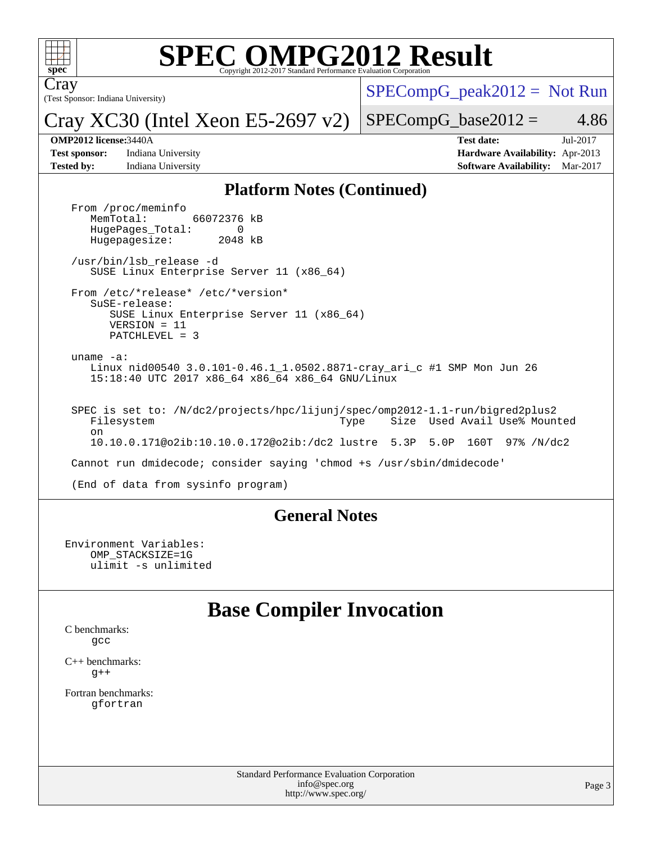

# **[SPEC OMPG2012 Result](http://www.spec.org/auto/omp2012/Docs/result-fields.html#SPECOMPG2012Result)**

(Test Sponsor: Indiana University) Cray

 $SPECompG_peak2012 = Not Run$  $SPECompG_peak2012 = Not Run$ 

Cray XC30 (Intel Xeon E5-2697 v2)

 $SPECompG_base2012 = 4.86$  $SPECompG_base2012 = 4.86$ 

**[Test sponsor:](http://www.spec.org/auto/omp2012/Docs/result-fields.html#Testsponsor)** Indiana University **[Hardware Availability:](http://www.spec.org/auto/omp2012/Docs/result-fields.html#HardwareAvailability)** Apr-2013 **[Tested by:](http://www.spec.org/auto/omp2012/Docs/result-fields.html#Testedby)** Indiana University **[Software Availability:](http://www.spec.org/auto/omp2012/Docs/result-fields.html#SoftwareAvailability)** Mar-2017

**[OMP2012 license:](http://www.spec.org/auto/omp2012/Docs/result-fields.html#OMP2012license)**3440A **[Test date:](http://www.spec.org/auto/omp2012/Docs/result-fields.html#Testdate)** Jul-2017

#### **[Platform Notes \(Continued\)](http://www.spec.org/auto/omp2012/Docs/result-fields.html#PlatformNotes)**

From /proc/meminfo<br>MemTotal: 66072376 kB HugePages\_Total: 0<br>Hugepagesize: 2048 kB Hugepagesize: /usr/bin/lsb\_release -d SUSE Linux Enterprise Server 11 (x86\_64) From /etc/\*release\* /etc/\*version\* SuSE-release: SUSE Linux Enterprise Server 11 (x86\_64) VERSION = 11 PATCHLEVEL = 3 uname -a: Linux nid00540 3.0.101-0.46.1\_1.0502.8871-cray\_ari\_c #1 SMP Mon Jun 26 15:18:40 UTC 2017 x86\_64 x86\_64 x86\_64 GNU/Linux SPEC is set to: /N/dc2/projects/hpc/lijunj/spec/omp2012-1.1-run/bigred2plus2 Filesystem Type Size Used Avail Use% Mounted on 10.10.0.171@o2ib:10.10.0.172@o2ib:/dc2 lustre 5.3P 5.0P 160T 97% /N/dc2 Cannot run dmidecode; consider saying 'chmod +s /usr/sbin/dmidecode' (End of data from sysinfo program)

### **[General Notes](http://www.spec.org/auto/omp2012/Docs/result-fields.html#GeneralNotes)**

Environment Variables: OMP\_STACKSIZE=1G ulimit -s unlimited

## **[Base Compiler Invocation](http://www.spec.org/auto/omp2012/Docs/result-fields.html#BaseCompilerInvocation)**

[C benchmarks](http://www.spec.org/auto/omp2012/Docs/result-fields.html#Cbenchmarks): [gcc](http://www.spec.org/omp2012/results/res2017q3/omp2012-20170728-00111.flags.html#user_CCbase_gcc_e0d511356bd44120af49cc96c9dcf3b3)

[C++ benchmarks:](http://www.spec.org/auto/omp2012/Docs/result-fields.html#CXXbenchmarks)  $g++$ 

[Fortran benchmarks](http://www.spec.org/auto/omp2012/Docs/result-fields.html#Fortranbenchmarks): [gfortran](http://www.spec.org/omp2012/results/res2017q3/omp2012-20170728-00111.flags.html#user_FCbase_gfortran_a303edaa4a81c8aab35b1bda5c9ef7ba)

> Standard Performance Evaluation Corporation [info@spec.org](mailto:info@spec.org) <http://www.spec.org/>